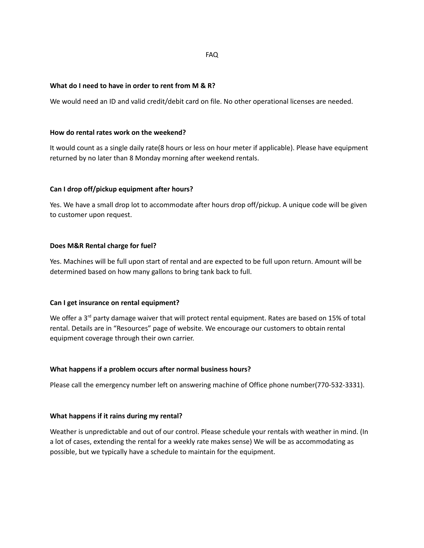## FAQ

### **What do I need to have in order to rent from M & R?**

We would need an ID and valid credit/debit card on file. No other operational licenses are needed.

#### **How do rental rates work on the weekend?**

It would count as a single daily rate(8 hours or less on hour meter if applicable). Please have equipment returned by no later than 8 Monday morning after weekend rentals.

### **Can I drop off/pickup equipment after hours?**

Yes. We have a small drop lot to accommodate after hours drop off/pickup. A unique code will be given to customer upon request.

## **Does M&R Rental charge for fuel?**

Yes. Machines will be full upon start of rental and are expected to be full upon return. Amount will be determined based on how many gallons to bring tank back to full.

### **Can I get insurance on rental equipment?**

We offer a  $3<sup>rd</sup>$  party damage waiver that will protect rental equipment. Rates are based on 15% of total rental. Details are in "Resources" page of website. We encourage our customers to obtain rental equipment coverage through their own carrier.

### **What happens if a problem occurs after normal business hours?**

Please call the emergency number left on answering machine of Office phone number(770-532-3331).

### **What happens if it rains during my rental?**

Weather is unpredictable and out of our control. Please schedule your rentals with weather in mind. (In a lot of cases, extending the rental for a weekly rate makes sense) We will be as accommodating as possible, but we typically have a schedule to maintain for the equipment.